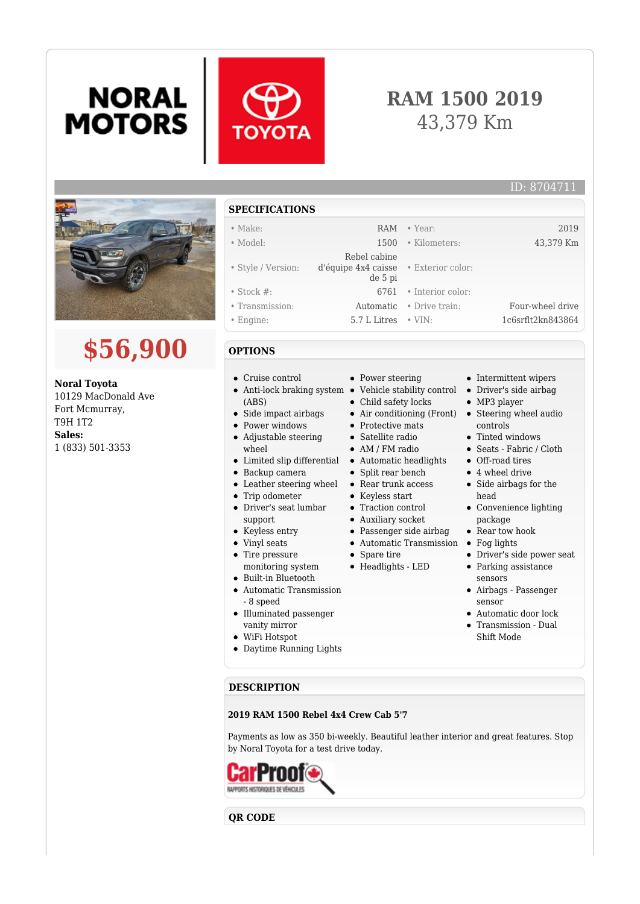# **NORAL MOTORS**



### **RAM 1500 2019** 43,379 Km



## **\$56,900**

**Noral Toyota** 10129 MacDonald Ave Fort Mcmurray, T9H 1T2 **Sales:** 1 (833) 501-3353

#### **SPECIFICATIONS**

#### • Make: RAM • Year: 2019 • Model: 1500 • Kilometers: 43,379 Km • Style / Version: Rebel cabine d'équipe 4x4 caisse • Exterior color: de 5 pi • Stock #: 6761 • Interior color: • Transmission: Automatic • Drive train: Four-wheel drive • Engine: 5.7 L Litres • VIN: 1c6srflt2kn843864

#### **OPTIONS**

- Cruise control
- Anti-lock braking system Vehicle stability control Driver's side airbag (ABS)
- Side impact airbags
- Power windows
- Adjustable steering
- wheel
- Limited slip differential Automatic headlights
- Backup camera
- Leather steering wheel Rear trunk access
- Trip odometer
- Driver's seat lumbar support
- Keyless entry
- Vinyl seats
- Tire pressure
- 
- monitoring system Built-in Bluetooth
- Automatic Transmission - 8 speed
- Illuminated passenger vanity mirror
- WiFi Hotspot
- Daytime Running Lights
- Power steering
- 
- Child safety locks
- Air conditioning (Front) Steering wheel audio
- Protective mats
- Satellite radio
- AM / FM radio
- Split rear bench
- 
- Keyless start
- Traction control
- Auxiliary socket
- Passenger side airbag
- 
- 
- 
- 
- 
- 
- 
- Spare tire
- Headlights LED
- 
- 
- 
- 
- Automatic Transmission Fog lights
- 
- 
- 
- 
- 
- - -
		- Parking assistance sensors
		- Airbags Passenger sensor
		- Automatic door lock
		- Transmission Dual Shift Mode

#### **DESCRIPTION**

#### **2019 RAM 1500 Rebel 4x4 Crew Cab 5'7**

Payments as low as 350 bi-weekly. Beautiful leather interior and great features. Stop by Noral Toyota for a test drive today.



#### **QR CODE**

### ID: 8704711

- Intermittent wipers
	-
	- MP3 player
	- controls
	- Tinted windows
	- Seats Fabric / Cloth
	- Off-road tires
	- 4 wheel drive
	- Side airbags for the head
	- Convenience lighting package
	- Rear tow hook
	-
	- Driver's side power seat
	-
	-
	-
	-
-